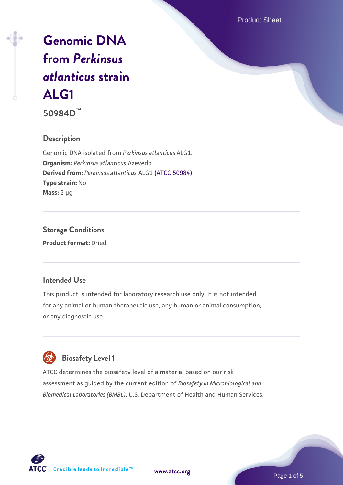Product Sheet

# **[Genomic DNA](https://www.atcc.org/products/50984d) [from](https://www.atcc.org/products/50984d)** *[Perkinsus](https://www.atcc.org/products/50984d) [atlanticus](https://www.atcc.org/products/50984d)* **[strain](https://www.atcc.org/products/50984d) [ALG1](https://www.atcc.org/products/50984d)**

**50984D™**

## **Description**

Genomic DNA isolated from *Perkinsus atlanticus* ALG1. **Organism:** *Perkinsus atlanticus* Azevedo **Derived from:** *Perkinsus atlanticus* ALG1 [\(ATCC 50984\)](https://www.atcc.org/products/50984) **Type strain:** No **Mass:** 2 µg

**Storage Conditions Product format:** Dried

## **Intended Use**

This product is intended for laboratory research use only. It is not intended for any animal or human therapeutic use, any human or animal consumption, or any diagnostic use.



## **Biosafety Level 1**

ATCC determines the biosafety level of a material based on our risk assessment as guided by the current edition of *Biosafety in Microbiological and Biomedical Laboratories (BMBL)*, U.S. Department of Health and Human Services.

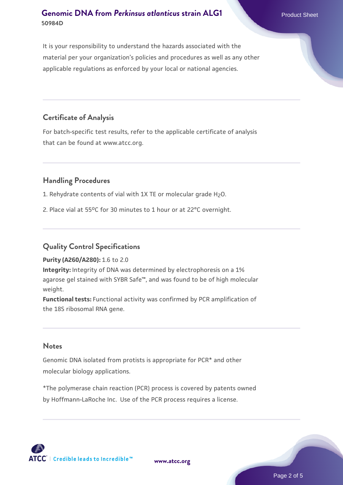It is your responsibility to understand the hazards associated with the material per your organization's policies and procedures as well as any other applicable regulations as enforced by your local or national agencies.

## **Certificate of Analysis**

For batch-specific test results, refer to the applicable certificate of analysis that can be found at www.atcc.org.

## **Handling Procedures**

1. Rehydrate contents of vial with 1X TE or molecular grade H<sub>2</sub>O.

2. Place vial at 55°C for 30 minutes to 1 hour or at 22°C overnight.

## **Quality Control Specifications**

**Purity (A260/A280):** 1.6 to 2.0

**Integrity:** Integrity of DNA was determined by electrophoresis on a 1% agarose gel stained with SYBR Safe™, and was found to be of high molecular weight.

**Functional tests:** Functional activity was confirmed by PCR amplification of the 18S ribosomal RNA gene.

#### **Notes**

Genomic DNA isolated from protists is appropriate for PCR\* and other molecular biology applications.

\*The polymerase chain reaction (PCR) process is covered by patents owned by Hoffmann-LaRoche Inc. Use of the PCR process requires a license.



**[www.atcc.org](http://www.atcc.org)**

Page 2 of 5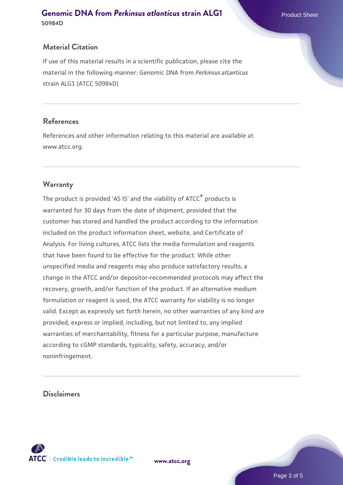If use of this material results in a scientific publication, please cite the material in the following manner: Genomic DNA from *Perkinsus atlanticus* strain ALG1 (ATCC 50984D)

## **References**

References and other information relating to this material are available at www.atcc.org.

## **Warranty**

The product is provided 'AS IS' and the viability of ATCC® products is warranted for 30 days from the date of shipment, provided that the customer has stored and handled the product according to the information included on the product information sheet, website, and Certificate of Analysis. For living cultures, ATCC lists the media formulation and reagents that have been found to be effective for the product. While other unspecified media and reagents may also produce satisfactory results, a change in the ATCC and/or depositor-recommended protocols may affect the recovery, growth, and/or function of the product. If an alternative medium formulation or reagent is used, the ATCC warranty for viability is no longer valid. Except as expressly set forth herein, no other warranties of any kind are provided, express or implied, including, but not limited to, any implied warranties of merchantability, fitness for a particular purpose, manufacture according to cGMP standards, typicality, safety, accuracy, and/or noninfringement.

## **Disclaimers**



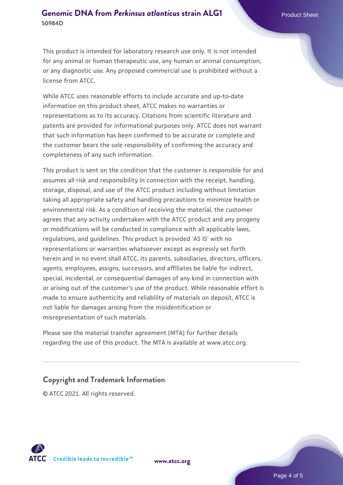This product is intended for laboratory research use only. It is not intended for any animal or human therapeutic use, any human or animal consumption, or any diagnostic use. Any proposed commercial use is prohibited without a license from ATCC.

While ATCC uses reasonable efforts to include accurate and up-to-date information on this product sheet, ATCC makes no warranties or representations as to its accuracy. Citations from scientific literature and patents are provided for informational purposes only. ATCC does not warrant that such information has been confirmed to be accurate or complete and the customer bears the sole responsibility of confirming the accuracy and completeness of any such information.

This product is sent on the condition that the customer is responsible for and assumes all risk and responsibility in connection with the receipt, handling, storage, disposal, and use of the ATCC product including without limitation taking all appropriate safety and handling precautions to minimize health or environmental risk. As a condition of receiving the material, the customer agrees that any activity undertaken with the ATCC product and any progeny or modifications will be conducted in compliance with all applicable laws, regulations, and guidelines. This product is provided 'AS IS' with no representations or warranties whatsoever except as expressly set forth herein and in no event shall ATCC, its parents, subsidiaries, directors, officers, agents, employees, assigns, successors, and affiliates be liable for indirect, special, incidental, or consequential damages of any kind in connection with or arising out of the customer's use of the product. While reasonable effort is made to ensure authenticity and reliability of materials on deposit, ATCC is not liable for damages arising from the misidentification or misrepresentation of such materials.

Please see the material transfer agreement (MTA) for further details regarding the use of this product. The MTA is available at www.atcc.org.

## **Copyright and Trademark Information**

© ATCC 2021. All rights reserved.



**[www.atcc.org](http://www.atcc.org)**